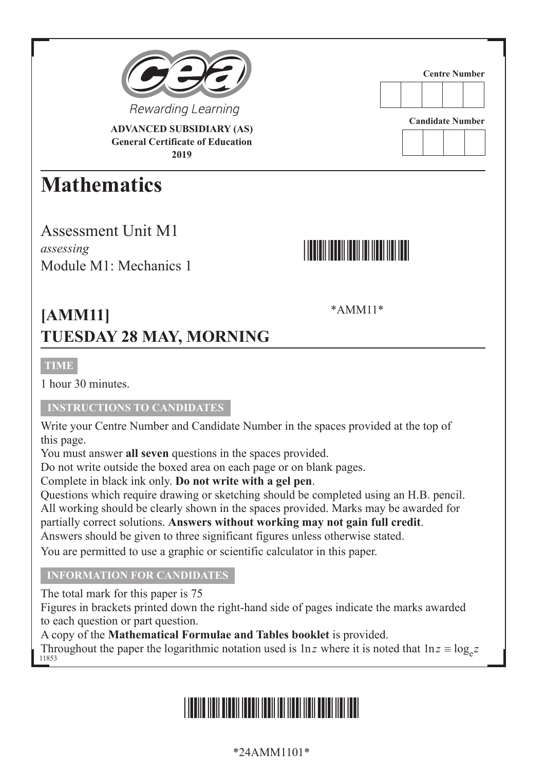

**ADVANCED SUBSIDIARY (AS) General Certificate of Education 2019**

# **Mathematics**

Assessment Unit M1 *assessing* Module M1: Mechanics 1

# \*AMM11\*

**Centre Number**

**Candidate Number**

\*AMM11\*

# **[AMM11] TUESDAY 28 MAY, MORNING**

### **TIME**

1 hour 30 minutes.

### **INSTRUCTIONS TO CANDIDATES**

Write your Centre Number and Candidate Number in the spaces provided at the top of this page.

You must answer **all seven** questions in the spaces provided.

Do not write outside the boxed area on each page or on blank pages.

Complete in black ink only. **Do not write with a gel pen**.

Questions which require drawing or sketching should be completed using an H.B. pencil. All working should be clearly shown in the spaces provided. Marks may be awarded for partially correct solutions. **Answers without working may not gain full credit**.

Answers should be given to three significant figures unless otherwise stated.

You are permitted to use a graphic or scientific calculator in this paper.

### **INFORMATION FOR CANDIDATES**

The total mark for this paper is 75

Figures in brackets printed down the right-hand side of pages indicate the marks awarded to each question or part question.

A copy of the **Mathematical Formulae and Tables booklet** is provided.

11853 Throughout the paper the logarithmic notation used is  $\ln z$  where it is noted that  $\ln z \equiv \log_e z$ 

# \*24AMM1101\*

\*24AMM1101\*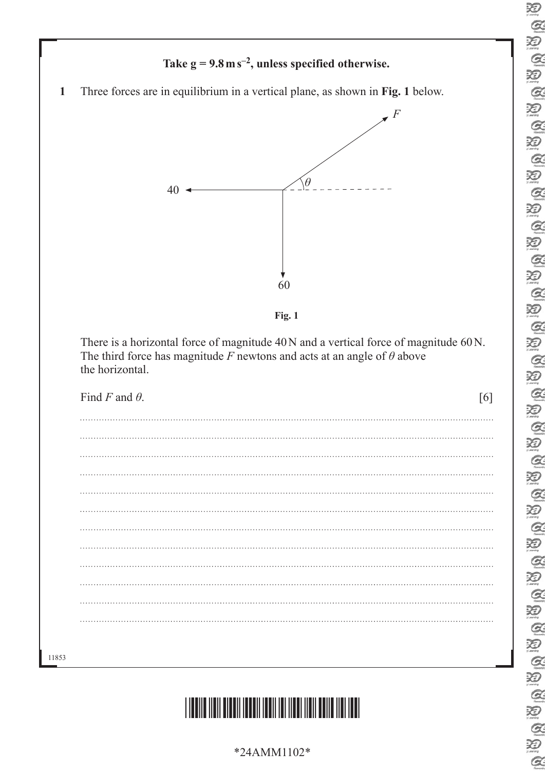| 茫<br>p                     |
|----------------------------|
| $\alpha$                   |
|                            |
| XI)<br>7. conving          |
| Q                          |
|                            |
| Ð                          |
| $\alpha$                   |
|                            |
| Ð                          |
| $\alpha$                   |
|                            |
| Ð                          |
| $\alpha$                   |
| Ð                          |
|                            |
| Q                          |
| Ð                          |
|                            |
| Q.                         |
|                            |
| X                          |
| $\mathcal{Q}$              |
|                            |
| Ð                          |
| $\alpha$                   |
|                            |
| Ð                          |
|                            |
| <b>A</b>                   |
| X<br>⊇                     |
|                            |
| $\alpha$                   |
| XI)<br>Learning            |
|                            |
| $\alpha$                   |
|                            |
|                            |
| Ð                          |
| $\boldsymbol{\mathcal{Q}}$ |
| V                          |
| X                          |
| Q,                         |
|                            |
| Ð                          |
| Q                          |
|                            |
| Ð                          |
|                            |
| $\mathcal{C}$<br>Ź,        |
| X<br>フ                     |
|                            |
|                            |
| Ð                          |
|                            |
| ζ                          |
| ₹                          |
|                            |
| Q                          |
| X<br>P                     |
|                            |
| ζ                          |
| X                          |
|                            |
|                            |
|                            |
| ₹                          |
|                            |
|                            |
| X<br>Q                     |

| Take $g = 9.8 \text{ m s}^{-2}$ , unless specified otherwise. |  |
|---------------------------------------------------------------|--|
|---------------------------------------------------------------|--|

**1** Three forces are in equilibrium in a vertical plane, as shown in **Fig. 1** below.



**Fig. 1**

There is a horizontal force of magnitude 40N and a vertical force of magnitude 60N. The third force has magnitude *F* newtons and acts at an angle of *θ* above the horizontal.

| Find $F$ and $\theta$ . | [6] |
|-------------------------|-----|
|                         |     |
|                         |     |
|                         |     |
|                         |     |
|                         |     |
|                         |     |
|                         |     |
|                         |     |
|                         |     |
|                         |     |
|                         |     |
|                         |     |
|                         |     |
|                         |     |



11853

\*24AMM1102\*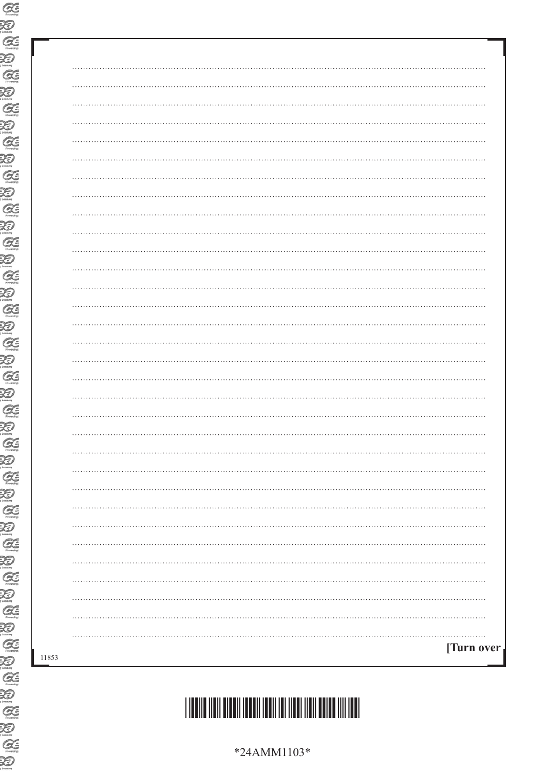# \*24AMM1103\*

|       | $\cdots$   |
|-------|------------|
|       | .          |
|       |            |
|       |            |
|       |            |
|       |            |
|       |            |
|       |            |
|       |            |
|       |            |
|       | .          |
| 11853 | [Turn over |
|       |            |

ı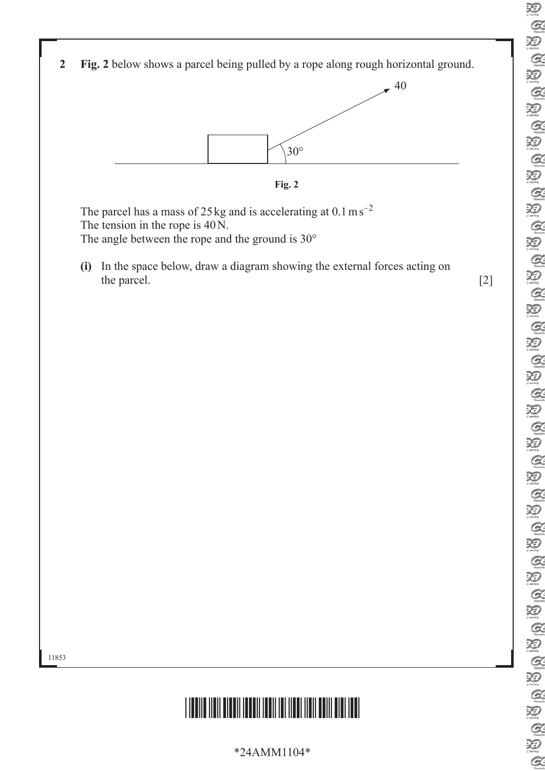

\*24AMM1104\*

万  $Q$  $\sum_{\text{learning}}$  $\alpha$ 此  $Q$ 泡  $Q$ **论**  $\alpha$ 泪  $\alpha$  $\sum_{i \text{ country}}$  $\alpha$  $\sum_{\text{locons}}$  $\bigotimes_{\text{Riemann}}$ 汩  $\alpha$ 

 $\sum_{\mu$  $\alpha$ 

 $\alpha$ 

 $\alpha$ 

 $\alpha$ 

 $Q$ 

 $\alpha$ 

 $\alpha$ 

 $\alpha$ 

 $Q$ 

 $\alpha$ 

 $Q$ 

 $\alpha$ 

 $\alpha$ 

 $\alpha$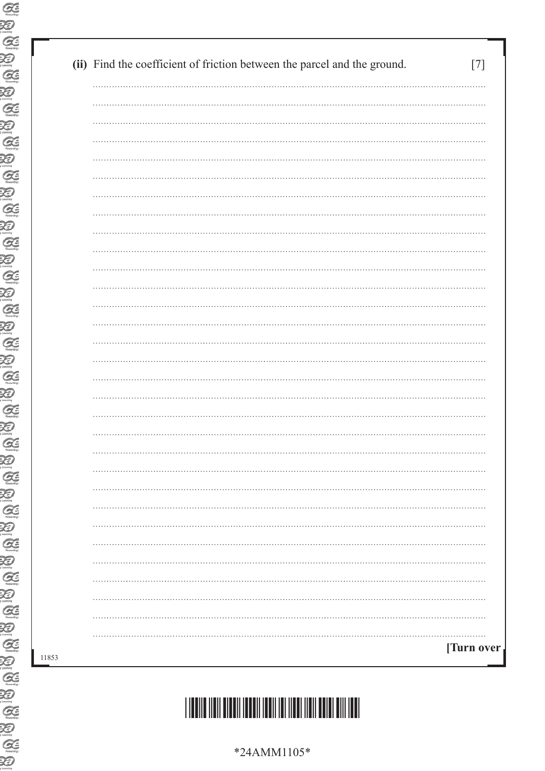| $[7]$      | (ii) Find the coefficient of friction between the parcel and the ground. |
|------------|--------------------------------------------------------------------------|
|            |                                                                          |
|            |                                                                          |
|            |                                                                          |
|            |                                                                          |
|            |                                                                          |
|            |                                                                          |
|            |                                                                          |
|            |                                                                          |
|            |                                                                          |
|            |                                                                          |
|            |                                                                          |
|            |                                                                          |
|            |                                                                          |
|            |                                                                          |
|            |                                                                          |
|            |                                                                          |
|            |                                                                          |
|            |                                                                          |
|            |                                                                          |
|            |                                                                          |
|            |                                                                          |
|            |                                                                          |
|            |                                                                          |
|            |                                                                          |
|            |                                                                          |
|            |                                                                          |
|            |                                                                          |
|            |                                                                          |
|            |                                                                          |
|            |                                                                          |
|            |                                                                          |
| [Turn over |                                                                          |

\*24AMM1105\*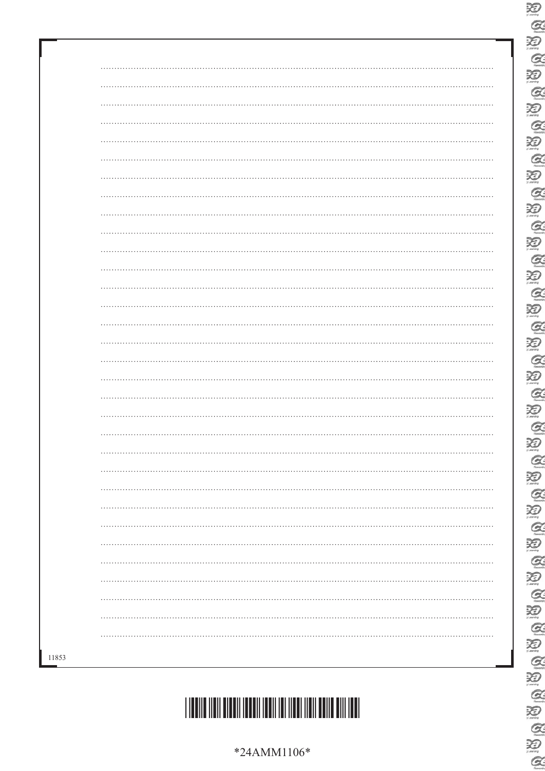\*24AMM1106\*



|       | *********************************** |
|-------|-------------------------------------|
|       |                                     |
|       |                                     |
|       | *********************************** |
|       |                                     |
|       |                                     |
|       |                                     |
|       |                                     |
|       |                                     |
|       |                                     |
|       |                                     |
|       |                                     |
|       |                                     |
|       |                                     |
|       |                                     |
|       |                                     |
|       |                                     |
|       |                                     |
|       |                                     |
| 11853 |                                     |
|       |                                     |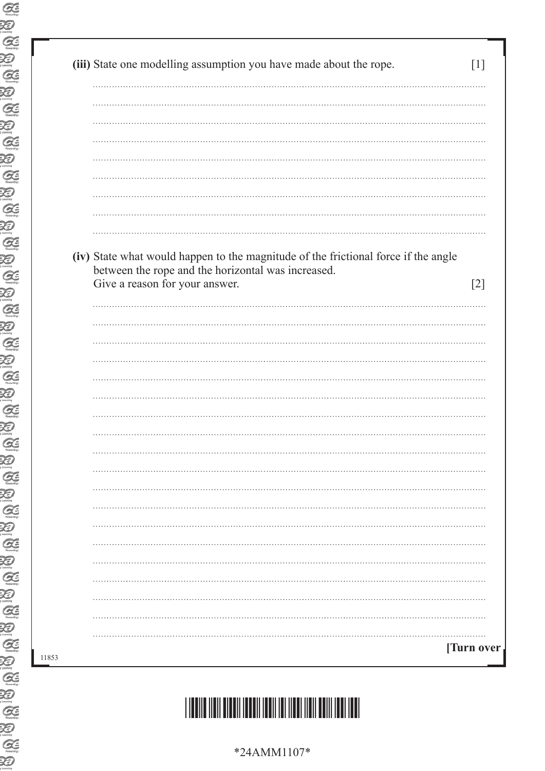| (iv) State what would happen to the magnitude of the frictional force if the angle<br>between the rope and the horizontal was increased.<br>Give a reason for your answer. | $[2]$            |
|----------------------------------------------------------------------------------------------------------------------------------------------------------------------------|------------------|
|                                                                                                                                                                            |                  |
|                                                                                                                                                                            |                  |
|                                                                                                                                                                            |                  |
|                                                                                                                                                                            |                  |
|                                                                                                                                                                            |                  |
|                                                                                                                                                                            |                  |
|                                                                                                                                                                            |                  |
|                                                                                                                                                                            |                  |
|                                                                                                                                                                            |                  |
|                                                                                                                                                                            |                  |
|                                                                                                                                                                            |                  |
|                                                                                                                                                                            |                  |
|                                                                                                                                                                            |                  |
|                                                                                                                                                                            |                  |
|                                                                                                                                                                            |                  |
|                                                                                                                                                                            |                  |
|                                                                                                                                                                            |                  |
|                                                                                                                                                                            |                  |
|                                                                                                                                                                            |                  |
|                                                                                                                                                                            |                  |
|                                                                                                                                                                            | <b>Turn over</b> |
|                                                                                                                                                                            |                  |

### \*24AMM1107\*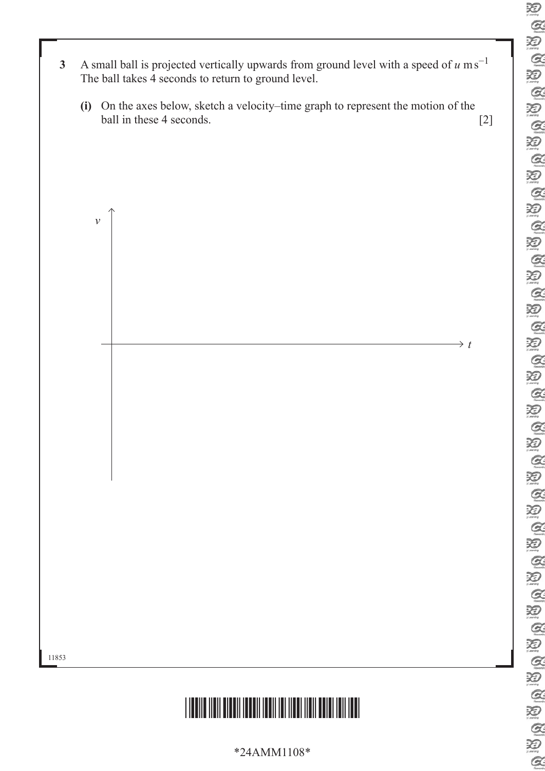$\sum_{\mu}$  $\alpha$  $\mathcal{Z}$  $\alpha$ 泡  $\alpha$ 泡  $Q$ 泡  $Q$ 泡  $\alpha$ 泡  $\alpha$  $\sum_{n \in \mathbb{N}}$  $Q$ 泪  $Q$ 泪  $\alpha$ 泡  $\mathcal{Q}$ **论**  $\alpha$ 泪  $\alpha$ 泡  $Q$ 万  $Q$  $\sum_{\text{decay}}$  $\alpha$ 泡  $\alpha$ 泡  $\alpha$ 泪  $\alpha$  $\sum_{n=1}^{\infty}$  $\alpha$  $\sum_{n=1}^\infty$  $\alpha$ 泡  $\sum_{\text{Riemann}}$ 泡  $\alpha$ 

 $\rightarrow t$ 

- **3** A small ball is projected vertically upwards from ground level with a speed of *u* ms−<sup>1</sup> The ball takes 4 seconds to return to ground level.
	- **(i)** On the axes below, sketch a velocity–time graph to represent the motion of the ball in these 4 seconds.



\*24AMM1108\*

11853

*v*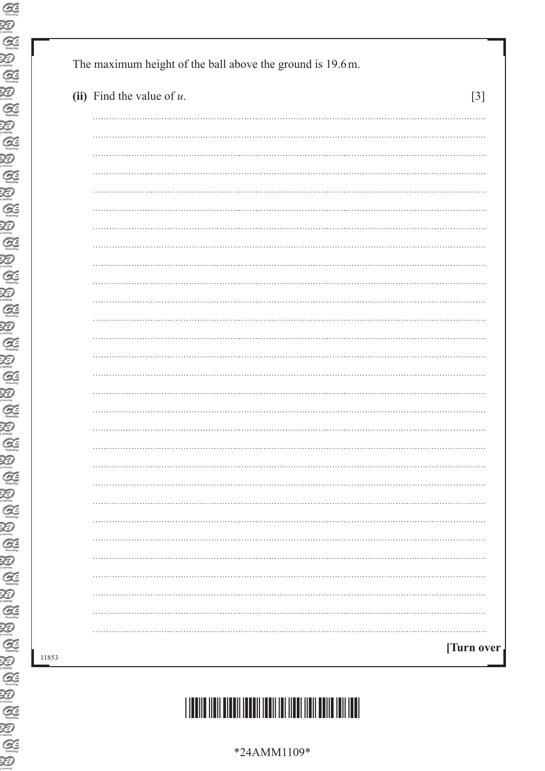| (ii) Find the value of $u$ .<br>$[3]$ |
|---------------------------------------|
|                                       |
|                                       |
|                                       |
|                                       |
|                                       |
|                                       |
|                                       |
|                                       |
|                                       |
|                                       |
|                                       |
|                                       |
|                                       |
|                                       |
|                                       |
|                                       |
|                                       |
|                                       |
|                                       |
|                                       |
|                                       |
|                                       |
|                                       |
|                                       |
|                                       |
|                                       |
|                                       |
|                                       |
|                                       |
|                                       |
|                                       |
|                                       |

# \*24AMM1109\*

\*24AMM1109\*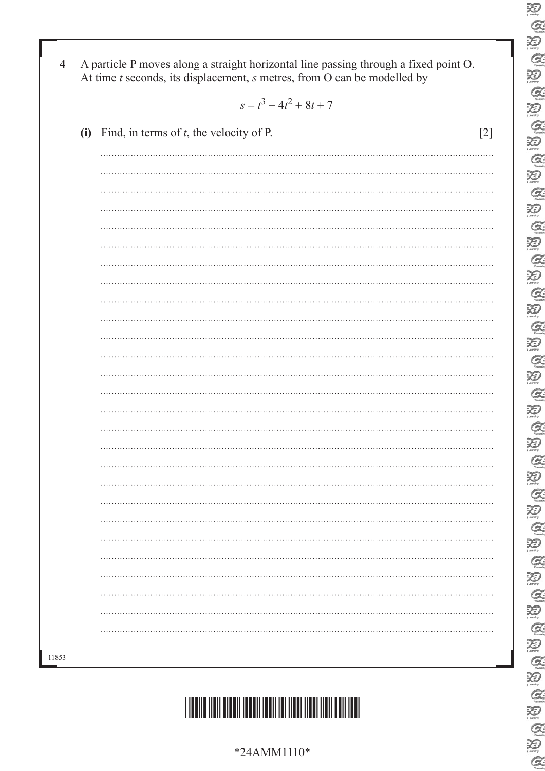| (i) Find, in terms of $t$ , the velocity of P. |  | $s = t^3 - 4t^2 + 8t + 7$ |  |  |
|------------------------------------------------|--|---------------------------|--|--|
|                                                |  |                           |  |  |
|                                                |  |                           |  |  |
|                                                |  |                           |  |  |
|                                                |  |                           |  |  |
|                                                |  |                           |  |  |
|                                                |  |                           |  |  |
|                                                |  |                           |  |  |
|                                                |  |                           |  |  |
|                                                |  |                           |  |  |
|                                                |  |                           |  |  |
|                                                |  |                           |  |  |
|                                                |  |                           |  |  |
|                                                |  |                           |  |  |
|                                                |  |                           |  |  |
|                                                |  |                           |  |  |
|                                                |  |                           |  |  |
|                                                |  |                           |  |  |
|                                                |  |                           |  |  |
|                                                |  |                           |  |  |
|                                                |  |                           |  |  |
|                                                |  |                           |  |  |
|                                                |  |                           |  |  |
|                                                |  |                           |  |  |
|                                                |  |                           |  |  |
|                                                |  |                           |  |  |
|                                                |  |                           |  |  |
|                                                |  |                           |  |  |



| Ð                             |
|-------------------------------|
|                               |
| $\alpha$                      |
| X<br>冫                        |
|                               |
| χ                             |
| X<br>V                        |
| $\mathcal{C}_{0}^{(1)}$<br>ζ  |
|                               |
| X<br>⊇                        |
| C<br>Ž                        |
|                               |
| Z<br>フ                        |
| <b>B</b>                      |
|                               |
| X<br>$\overline{\phantom{a}}$ |
| C<br>₹                        |
|                               |
| X<br>$\overline{\phantom{a}}$ |
| $\overline{G}$<br>ζ           |
|                               |
| ₹<br>Þ                        |
| l                             |
| Z<br>Þ                        |
|                               |
| C                             |
| ₹<br>フ                        |
|                               |
| ズ<br>C                        |
| ₹<br>⊅                        |
|                               |
| Q                             |
| X<br>フ                        |
| $\tilde{\phantom{a}}$         |
|                               |
| ⊋<br>Ð                        |
| C<br>ζ                        |
| $\partial$                    |
| R<br>2                        |
| $\mathcal C$<br>ζ             |
| $\chi$<br>$\overline{\nu}$    |
|                               |
| Q.                            |
| X<br>Þ                        |
|                               |
| G<br>ζ                        |
| X<br>冫                        |
|                               |
| C<br>ζ                        |
| Z<br>Þ                        |
| C                             |
| X                             |
| $\overline{\phantom{a}}$      |
|                               |
| C                             |
|                               |
| X<br>D                        |
| Q                             |
|                               |
| Z<br>$\overline{\ell}$        |
| C<br>Z.                       |
|                               |
| Ð                             |
| $\alpha$                      |
| Ð                             |
| Q                             |

\*24AMM1110\*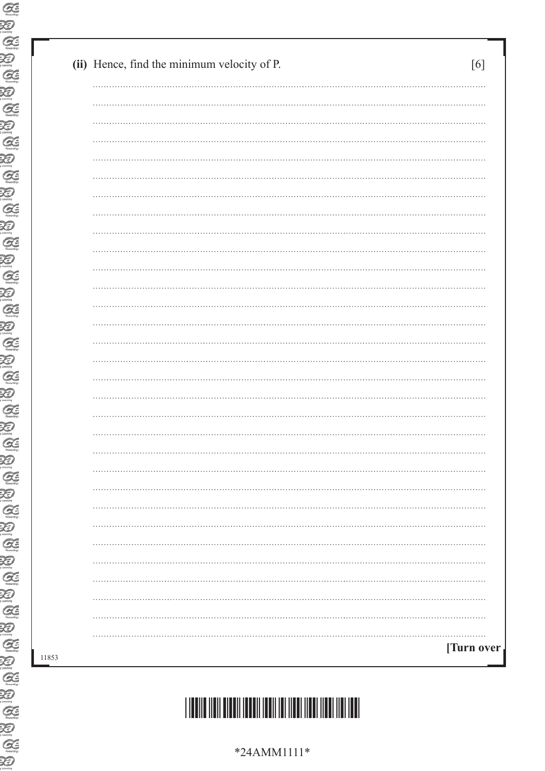| Œ                                                   |
|-----------------------------------------------------|
| XI)<br>isaning                                      |
| G                                                   |
| Ð                                                   |
| Œ                                                   |
| Ð                                                   |
| G                                                   |
| Ð                                                   |
| Œ                                                   |
| Ð                                                   |
| G                                                   |
| $\bigotimes$                                        |
| Œ                                                   |
| Ð                                                   |
| G                                                   |
| Ð                                                   |
| $\alpha$                                            |
|                                                     |
| Ð                                                   |
| Œ                                                   |
| Đ                                                   |
| Œ                                                   |
| Đ                                                   |
| $G\hspace{-1.5mm}\widehat{\hspace{1mm}\mathcal{G}}$ |
| Ð                                                   |
| Œ                                                   |
| Ð                                                   |
| G                                                   |
| Ð                                                   |
| Œ                                                   |
| Ð                                                   |
| Œ                                                   |
| XI)                                                 |
| Œ                                                   |
| Ð                                                   |
| Œ                                                   |
| Ð                                                   |
| G                                                   |
| Đ                                                   |
| Œ                                                   |
| Ð                                                   |
| Œ                                                   |
| Ð                                                   |
| $\mathcal{G}$                                       |
| Ð                                                   |
| Œ                                                   |

Æ

| .           |  |
|-------------|--|
|             |  |
|             |  |
| [Turn over  |  |
|             |  |
|             |  |
|             |  |
| *24AMM1111* |  |

**(ii)** Hence, find the minimum velocity of P. [6]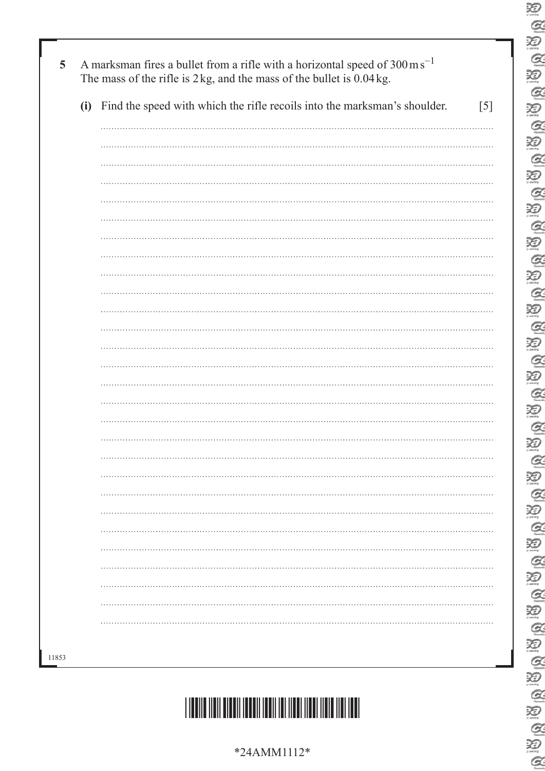| (i) Find the speed with which the rifle recoils into the marksman's shoulder.<br>[5] |
|--------------------------------------------------------------------------------------|
|                                                                                      |
|                                                                                      |
|                                                                                      |
|                                                                                      |
|                                                                                      |
|                                                                                      |
|                                                                                      |
|                                                                                      |
|                                                                                      |
|                                                                                      |
|                                                                                      |
|                                                                                      |
|                                                                                      |
|                                                                                      |
|                                                                                      |
|                                                                                      |
|                                                                                      |
|                                                                                      |
|                                                                                      |
|                                                                                      |
|                                                                                      |
|                                                                                      |
|                                                                                      |
|                                                                                      |
|                                                                                      |
|                                                                                      |
|                                                                                      |

 $\sum_{\text{Z}}$  $Q$  $\overline{\mathcal{Z}}$ 

 $\alpha$  $\sum_{i \text{learning}}$  $Q$ 

E<br>C

**QUEQUE** 

E<br>Q

3

**AUGAUGAU** 

E<br>E

**BBBBB** 

U Q Q

 $\mathcal{Q}$ 迴

E<br>E

**AB** 

 $\sum_{n=1}^\infty$ 

E<br>E

 $\frac{1}{2}$ 

 $Q$ 



\*24AMM1112\*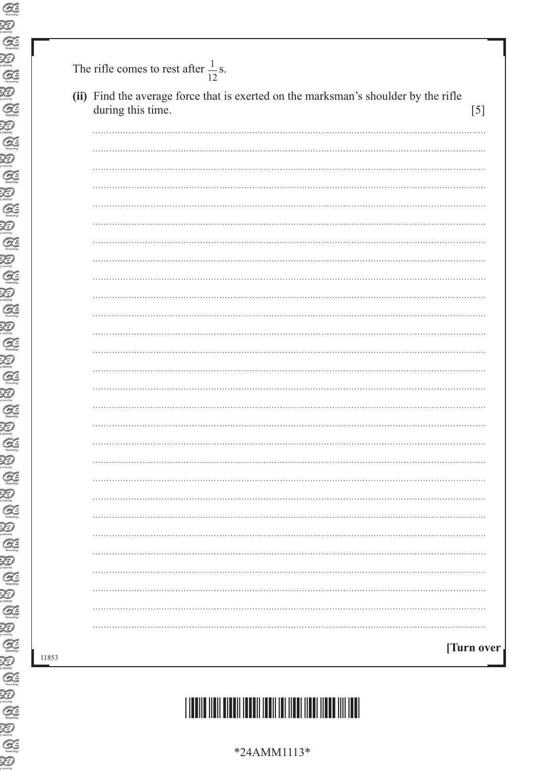The rifle comes to rest after  $\frac{1}{16}$ 12 s.

**(ii)** Find the average force that is exerted on the marksman's shoulder by the rifle during this time. [5]

| $\cdots$<br>. |
|---------------|
|               |
|               |
| . <b>.</b> .  |
|               |
|               |
| .             |
|               |
|               |
|               |
|               |
|               |
|               |
|               |
|               |
|               |
|               |
|               |
|               |
|               |
|               |
|               |
|               |
|               |
|               |
|               |
| [Turn over    |
|               |



\*24AMM1113\*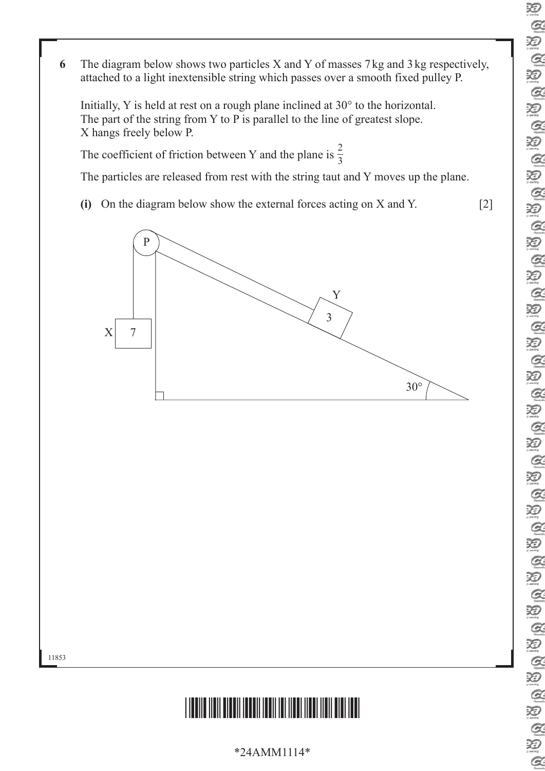- $\sum_{\text{learning}}$  $\alpha$  $\sum_{\mu \text{ boundary}}$  $\alpha$ 汩  $\alpha$ Ð  $\alpha$ 泡  $Q$ 汩  $Q$ Ð  $\alpha$ 泡  $\alpha$ 汩  $Q$ 泡  $Q$ 汩  $\alpha$ æ  $\alpha$ 汩  $\alpha$ 泡  $\alpha$ Ð  $\alpha$ 万  $Q$ Q  $\alpha$ Ð **A** Q  $\alpha$ 泡  $\alpha$  $\sum_{n \text{ convex}}$  $\alpha$  $\sum_{\text{locons}}$  $\mathcal{Q}$ Ð  $\alpha$
- **6** The diagram below shows two particles X and Y of masses 7 kg and 3 kg respectively, attached to a light inextensible string which passes over a smooth fixed pulley P.

Initially, Y is held at rest on a rough plane inclined at 30° to the horizontal. The part of the string from Y to P is parallel to the line of greatest slope. X hangs freely below P.

The coefficient of friction between Y and the plane is  $\frac{2}{3}$ 

The particles are released from rest with the string taut and Y moves up the plane.

**(i)** On the diagram below show the external forces acting on X and Y. [2]





11853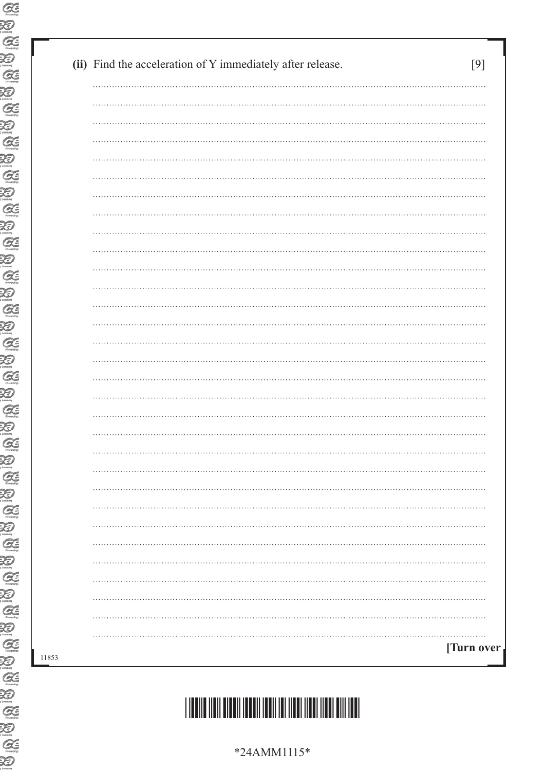| [9]        | (ii) Find the acceleration of Y immediately after release. |
|------------|------------------------------------------------------------|
|            |                                                            |
|            |                                                            |
|            |                                                            |
|            |                                                            |
|            |                                                            |
|            |                                                            |
|            |                                                            |
|            |                                                            |
|            |                                                            |
|            |                                                            |
|            |                                                            |
|            |                                                            |
|            |                                                            |
|            |                                                            |
|            |                                                            |
|            |                                                            |
|            |                                                            |
|            |                                                            |
|            |                                                            |
|            |                                                            |
|            |                                                            |
|            |                                                            |
|            |                                                            |
|            |                                                            |
|            |                                                            |
|            |                                                            |
|            |                                                            |
|            |                                                            |
|            |                                                            |
|            |                                                            |
| [Turn over |                                                            |
|            |                                                            |

\*24AMM1115\*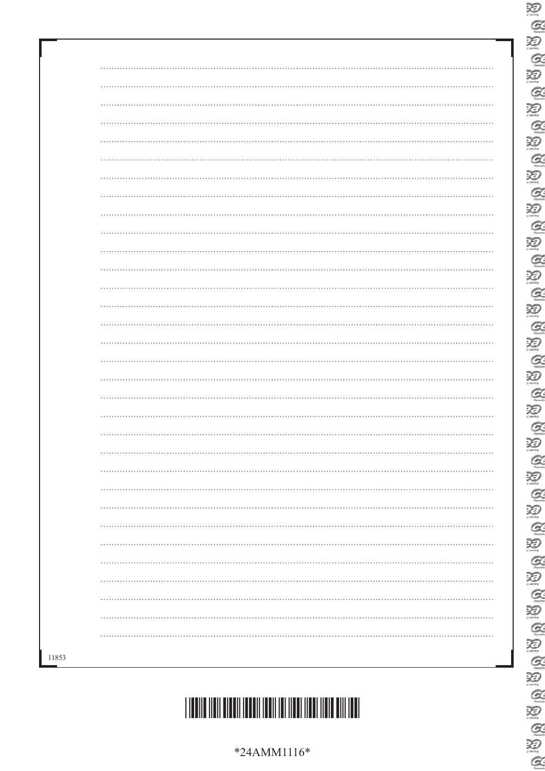\*24AMM1116\*



|       | $\cdots$ |
|-------|----------|
|       |          |
|       |          |
|       |          |
|       |          |
|       |          |
|       | $\cdots$ |
|       |          |
|       |          |
|       | $\cdots$ |
|       |          |
|       |          |
|       |          |
|       |          |
|       |          |
|       |          |
|       |          |
|       |          |
|       |          |
|       |          |
|       |          |
|       |          |
|       |          |
|       |          |
|       |          |
|       | $\cdots$ |
|       |          |
|       |          |
|       | $\cdots$ |
|       |          |
|       |          |
| 11853 |          |
|       |          |

 $\sum_{\text{Z}}$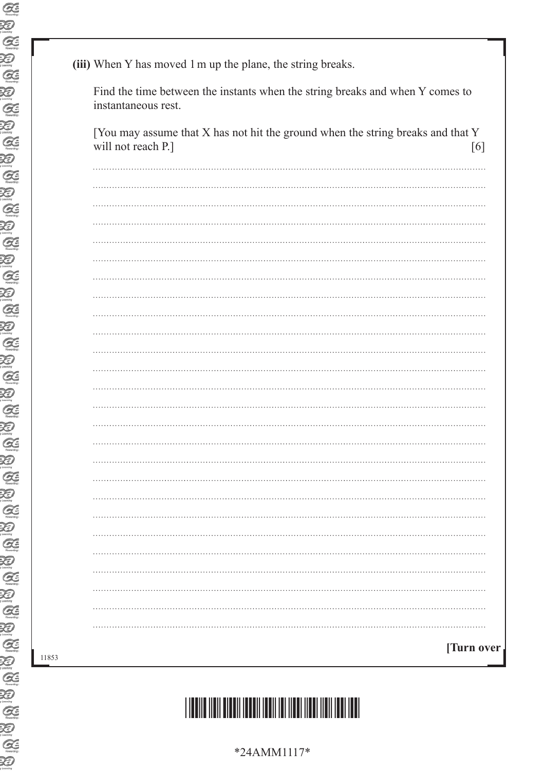**(iii)** When Y has moved 1m up the plane, the string breaks.

Find the time between the instants when the string breaks and when Y comes to instantaneous rest.

[You may assume that X has not hit the ground when the string breaks and that Y will not reach P.] [6]

| .          |
|------------|
|            |
|            |
| .          |
|            |
|            |
|            |
|            |
|            |
|            |
|            |
|            |
|            |
|            |
| [Turn over |

11853

# \*24AMM1117\*

\*24AMM1117\*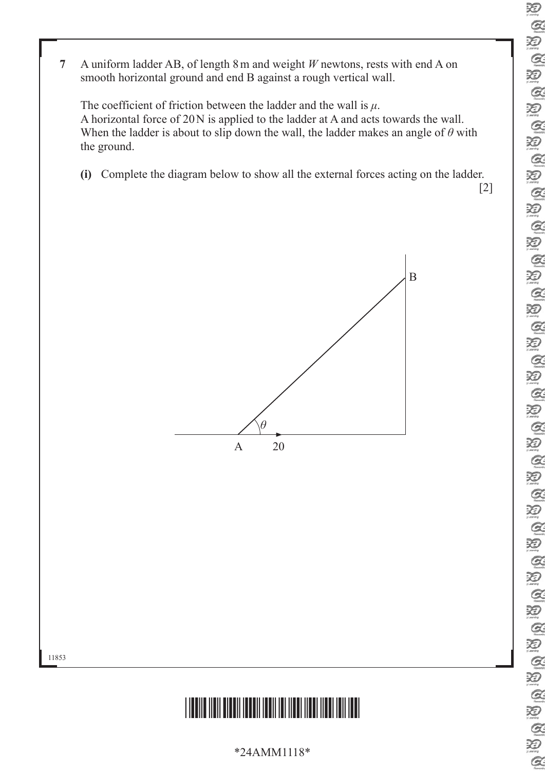- $\sum_{\text{learning}}$  $Q$  $\sum_{\mu \text{ boundary}}$  $\alpha$ 汩  $\alpha$ 汩  $\alpha$ 泡  $Q$ 汩  $Q$ 泡  $\alpha$ 泡  $\alpha$ 汩  $Q$ 泡  $\alpha$ 汩  $Q$ **论**  $\alpha$ 汩  $\alpha$ 泡  $\alpha$ XD  $\alpha$ 万  $\alpha$ 此  $\alpha$ 汩  $Q$ **论**  $\alpha$  $\bigotimes$  $\alpha$  $\sum_{n \text{ convex}}$  $\alpha$  $\sum_{\text{locons}}$  $\mathcal{Q}$ Q  $\alpha$
- **7** A uniform ladder AB, of length 8m and weight *W* newtons, rests with end A on smooth horizontal ground and end B against a rough vertical wall.

The coefficient of friction between the ladder and the wall is *μ*. A horizontal force of 20N is applied to the ladder at A and acts towards the wall. When the ladder is about to slip down the wall, the ladder makes an angle of *θ* with the ground.

**(i)** Complete the diagram below to show all the external forces acting on the ladder.

[2]



11853

# \*24AMM1118\*

\*24AMM1118\*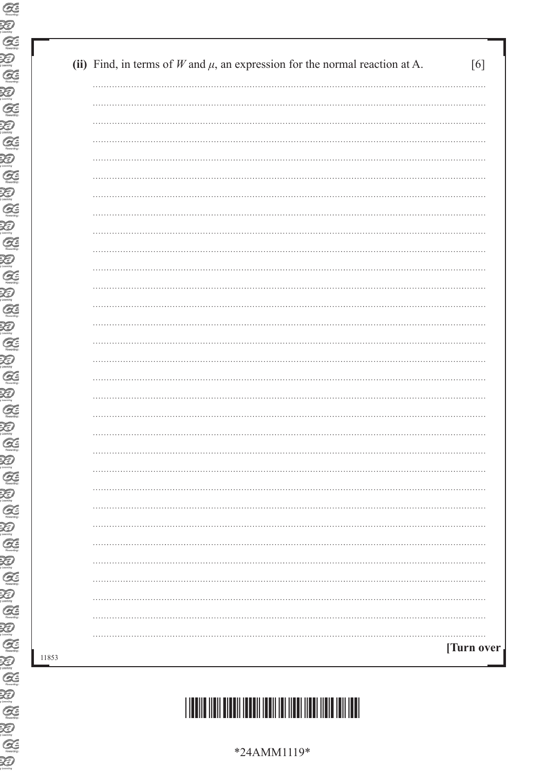| .          |  |  |
|------------|--|--|
|            |  |  |
|            |  |  |
|            |  |  |
|            |  |  |
|            |  |  |
|            |  |  |
|            |  |  |
|            |  |  |
|            |  |  |
|            |  |  |
|            |  |  |
|            |  |  |
|            |  |  |
|            |  |  |
|            |  |  |
|            |  |  |
|            |  |  |
|            |  |  |
|            |  |  |
|            |  |  |
|            |  |  |
|            |  |  |
|            |  |  |
|            |  |  |
|            |  |  |
|            |  |  |
|            |  |  |
|            |  |  |
| [Turn over |  |  |

\*24AMM1119\*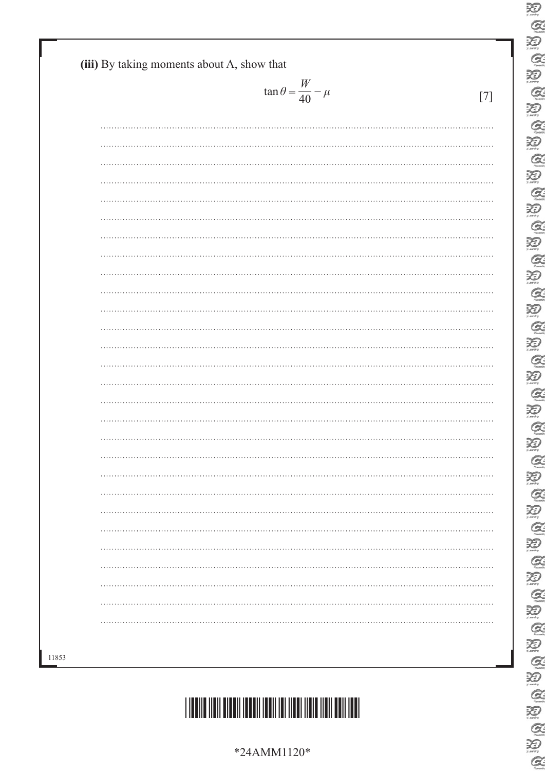| $\tan \theta = \frac{W}{40} - \mu$ |  |
|------------------------------------|--|
|                                    |  |
|                                    |  |
|                                    |  |
|                                    |  |
|                                    |  |
|                                    |  |
|                                    |  |
|                                    |  |
|                                    |  |
|                                    |  |
|                                    |  |
|                                    |  |
|                                    |  |
|                                    |  |
|                                    |  |
|                                    |  |
|                                    |  |
|                                    |  |
|                                    |  |
|                                    |  |
|                                    |  |
|                                    |  |
|                                    |  |

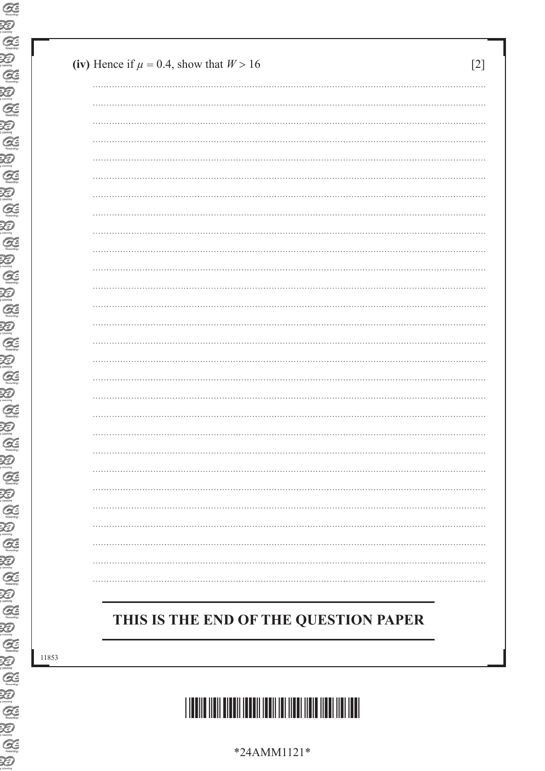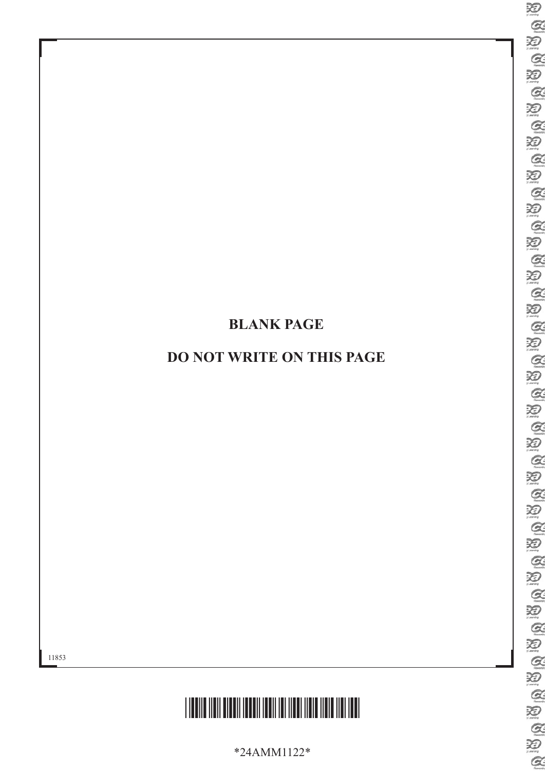# **BLANK PAGE**

# **DO NOT WRITE ON THIS PAGE**



\*24AMM1122\*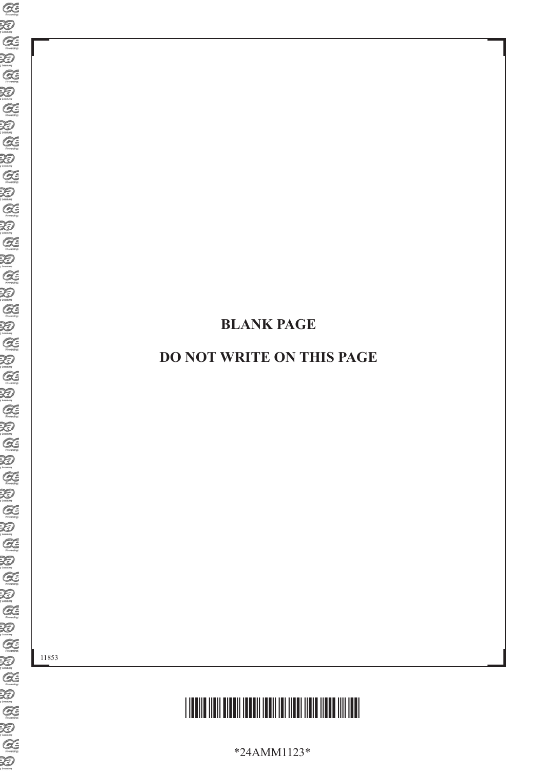# **BLANK PAGE**

### **DO NOT WRITE ON THIS PAGE**

11853



\*24AMM1123\*